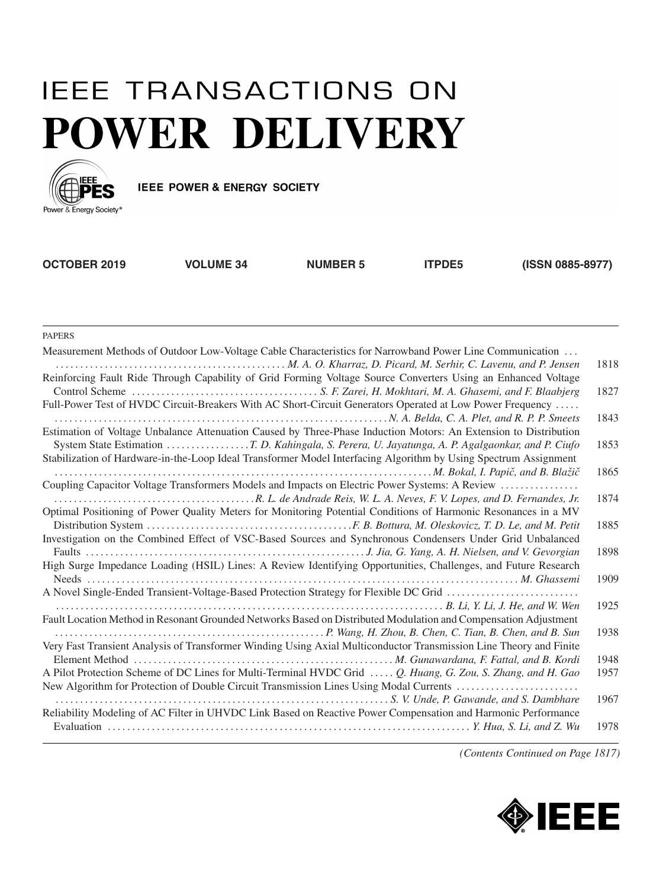## **IEEE TRANSACTIONS ON** POWER DELIVERY



IEEE POWER & ENERGY SOCIETY

**OCTOBER 2019 VOLUME 34 NUMBER 5 ITPDE5 (ISSN 0885-8977)**

PAPERS

| Measurement Methods of Outdoor Low-Voltage Cable Characteristics for Narrowband Power Line Communication           |      |
|--------------------------------------------------------------------------------------------------------------------|------|
|                                                                                                                    | 1818 |
| Reinforcing Fault Ride Through Capability of Grid Forming Voltage Source Converters Using an Enhanced Voltage      |      |
|                                                                                                                    | 1827 |
| Full-Power Test of HVDC Circuit-Breakers With AC Short-Circuit Generators Operated at Low Power Frequency          |      |
|                                                                                                                    | 1843 |
| Estimation of Voltage Unbalance Attenuation Caused by Three-Phase Induction Motors: An Extension to Distribution   |      |
| System State Estimation T. D. Kahingala, S. Perera, U. Jayatunga, A. P. Agalgaonkar, and P. Ciufo                  | 1853 |
| Stabilization of Hardware-in-the-Loop Ideal Transformer Model Interfacing Algorithm by Using Spectrum Assignment   |      |
|                                                                                                                    | 1865 |
| Coupling Capacitor Voltage Transformers Models and Impacts on Electric Power Systems: A Review                     |      |
|                                                                                                                    | 1874 |
| Optimal Positioning of Power Quality Meters for Monitoring Potential Conditions of Harmonic Resonances in a MV     |      |
|                                                                                                                    | 1885 |
| Investigation on the Combined Effect of VSC-Based Sources and Synchronous Condensers Under Grid Unbalanced         |      |
|                                                                                                                    | 1898 |
| High Surge Impedance Loading (HSIL) Lines: A Review Identifying Opportunities, Challenges, and Future Research     |      |
|                                                                                                                    | 1909 |
| A Novel Single-Ended Transient-Voltage-Based Protection Strategy for Flexible DC Grid                              |      |
|                                                                                                                    | 1925 |
| Fault Location Method in Resonant Grounded Networks Based on Distributed Modulation and Compensation Adjustment    | 1938 |
|                                                                                                                    |      |
| Very Fast Transient Analysis of Transformer Winding Using Axial Multiconductor Transmission Line Theory and Finite | 1948 |
| A Pilot Protection Scheme of DC Lines for Multi-Terminal HVDC Grid  Q. Huang, G. Zou, S. Zhang, and H. Gao         | 1957 |
| New Algorithm for Protection of Double Circuit Transmission Lines Using Modal Currents                             |      |
|                                                                                                                    | 1967 |
| Reliability Modeling of AC Filter in UHVDC Link Based on Reactive Power Compensation and Harmonic Performance      |      |
|                                                                                                                    | 1978 |
|                                                                                                                    |      |

*(Contents Continued on Page 1817)*